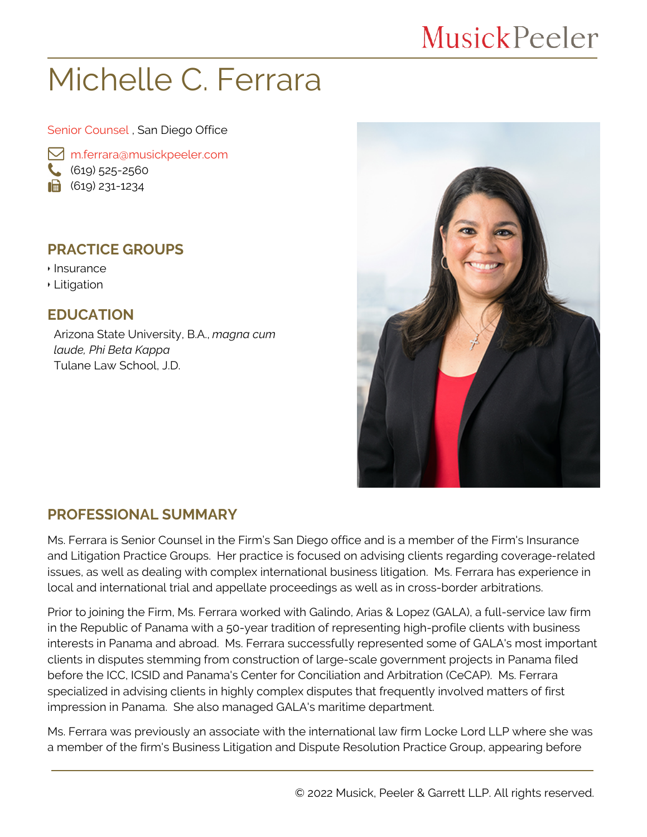# **MusickPeeler**

# Michelle C. Ferrara

Senior Counsel , San Diego Office

 [m.ferrara@musickpeeler.com](mailto:m.ferrara@musickpeeler.com)  $(619)$  525-2560  $\bigcirc$  (619) 231-1234

### **PRACTICE GROUPS**

- Insurance
- Litigation

**EDUCATION**

Arizona State University, B.A., *magna cum laude, Phi Beta Kappa* Tulane Law School, J.D.



#### **PROFESSIONAL SUMMARY**

Ms. Ferrara is Senior Counsel in the Firm's San Diego office and is a member of the Firm's Insurance and Litigation Practice Groups. Her practice is focused on advising clients regarding coverage-related issues, as well as dealing with complex international business litigation. Ms. Ferrara has experience in local and international trial and appellate proceedings as well as in cross-border arbitrations.

Prior to joining the Firm, Ms. Ferrara worked with Galindo, Arias & Lopez (GALA), a full-service law firm in the Republic of Panama with a 50-year tradition of representing high-profile clients with business interests in Panama and abroad. Ms. Ferrara successfully represented some of GALA's most important clients in disputes stemming from construction of large-scale government projects in Panama filed before the ICC, ICSID and Panama's Center for Conciliation and Arbitration (CeCAP). Ms. Ferrara specialized in advising clients in highly complex disputes that frequently involved matters of first impression in Panama. She also managed GALA's maritime department.

Ms. Ferrara was previously an associate with the international law firm Locke Lord LLP where she was a member of the firm's Business Litigation and Dispute Resolution Practice Group, appearing before